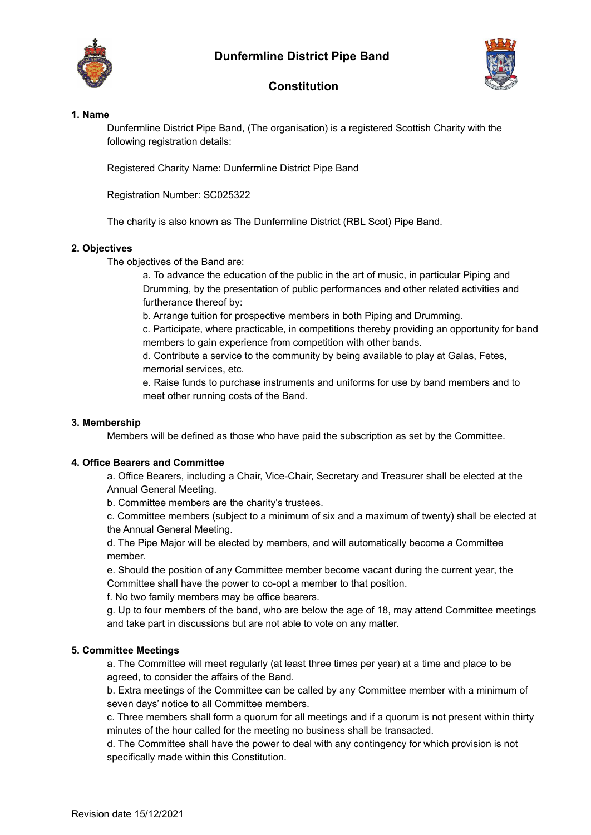





# **Constitution**

#### **1. Name**

Dunfermline District Pipe Band, (The organisation) is a registered Scottish Charity with the following registration details:

Registered Charity Name: Dunfermline District Pipe Band

Registration Number: SC025322

The charity is also known as The Dunfermline District (RBL Scot) Pipe Band.

## **2. Objectives**

The objectives of the Band are:

a. To advance the education of the public in the art of music, in particular Piping and Drumming, by the presentation of public performances and other related activities and furtherance thereof by:

b. Arrange tuition for prospective members in both Piping and Drumming.

c. Participate, where practicable, in competitions thereby providing an opportunity for band members to gain experience from competition with other bands.

d. Contribute a service to the community by being available to play at Galas, Fetes, memorial services, etc.

e. Raise funds to purchase instruments and uniforms for use by band members and to meet other running costs of the Band.

# **3. Membership**

Members will be defined as those who have paid the subscription as set by the Committee.

## **4. Office Bearers and Committee**

a. Office Bearers, including a Chair, Vice-Chair, Secretary and Treasurer shall be elected at the Annual General Meeting.

b. Committee members are the charity's trustees.

c. Committee members (subject to a minimum of six and a maximum of twenty) shall be elected at the Annual General Meeting.

d. The Pipe Major will be elected by members, and will automatically become a Committee member.

e. Should the position of any Committee member become vacant during the current year, the Committee shall have the power to co-opt a member to that position.

f. No two family members may be office bearers.

g. Up to four members of the band, who are below the age of 18, may attend Committee meetings and take part in discussions but are not able to vote on any matter.

## **5. Committee Meetings**

a. The Committee will meet regularly (at least three times per year) at a time and place to be agreed, to consider the affairs of the Band.

b. Extra meetings of the Committee can be called by any Committee member with a minimum of seven days' notice to all Committee members.

c. Three members shall form a quorum for all meetings and if a quorum is not present within thirty minutes of the hour called for the meeting no business shall be transacted.

d. The Committee shall have the power to deal with any contingency for which provision is not specifically made within this Constitution.